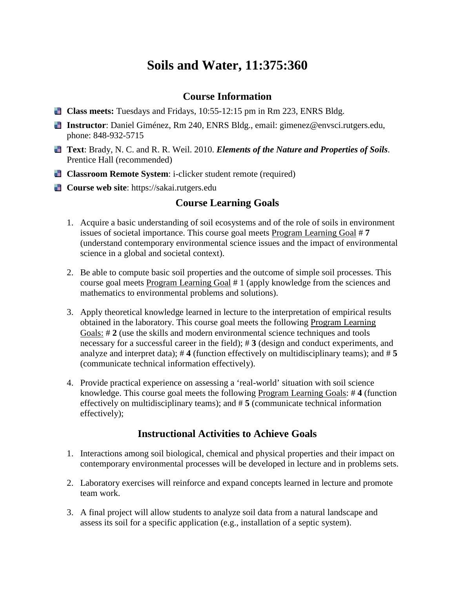# **Soils and Water, 11:375:360**

#### **Course Information**

- **Class meets:** Tuesdays and Fridays, 10:55-12:15 pm in Rm 223, ENRS Bldg.
- **Instructor**: Daniel Giménez, Rm 240, ENRS Bldg., email: gimenez@envsci.rutgers.edu, phone: 848-932-5715
- **Text**: Brady, N. C. and R. R. Weil. 2010. *Elements of the Nature and Properties of Soils*. Prentice Hall (recommended)
- **Classroom Remote System:** i-clicker student remote (required)
- **Course web site**: https://sakai.rutgers.edu

#### **Course Learning Goals**

- 1. Acquire a basic understanding of soil ecosystems and of the role of soils in environment issues of societal importance. This course goal meets Program Learning Goal # **7** (understand contemporary environmental science issues and the impact of environmental science in a global and societal context).
- 2. Be able to compute basic soil properties and the outcome of simple soil processes. This course goal meets Program Learning Goal # 1 (apply knowledge from the sciences and mathematics to environmental problems and solutions).
- 3. Apply theoretical knowledge learned in lecture to the interpretation of empirical results obtained in the laboratory. This course goal meets the following Program Learning Goals: # **2** (use the skills and modern environmental science techniques and tools necessary for a successful career in the field); # **3** (design and conduct experiments, and analyze and interpret data); # **4** (function effectively on multidisciplinary teams); and # **5** (communicate technical information effectively).
- 4. Provide practical experience on assessing a 'real-world' situation with soil science knowledge. This course goal meets the following Program Learning Goals: # **4** (function effectively on multidisciplinary teams); and # **5** (communicate technical information effectively);

### **Instructional Activities to Achieve Goals**

- 1. Interactions among soil biological, chemical and physical properties and their impact on contemporary environmental processes will be developed in lecture and in problems sets.
- 2. Laboratory exercises will reinforce and expand concepts learned in lecture and promote team work.
- 3. A final project will allow students to analyze soil data from a natural landscape and assess its soil for a specific application (e.g., installation of a septic system).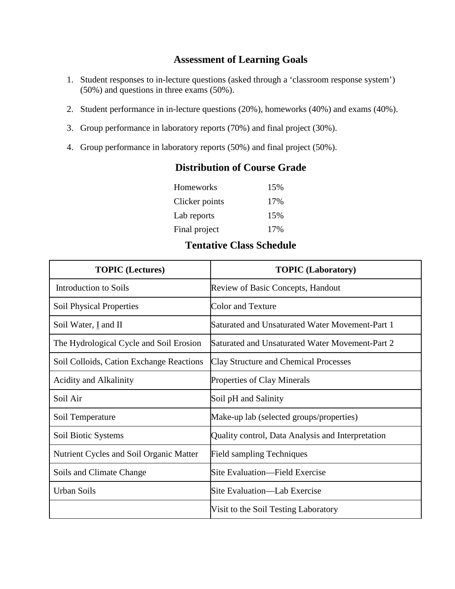### **Assessment of Learning Goals**

- 1. Student responses to in-lecture questions (asked through a 'classroom response system') (50%) and questions in three exams (50%).
- 2. Student performance in in-lecture questions (20%), homeworks (40%) and exams (40%).
- 3. Group performance in laboratory reports (70%) and final project (30%).
- 4. Group performance in laboratory reports (50%) and final project (50%).

#### **Distribution of Course Grade**

| Homeworks      | 15% |
|----------------|-----|
| Clicker points | 17% |
| Lab reports    | 15% |
| Final project  | 17% |

## **Tentative Class Schedule**

| <b>TOPIC</b> (Lectures)                  | <b>TOPIC</b> (Laboratory)                         |
|------------------------------------------|---------------------------------------------------|
| <b>Introduction to Soils</b>             | Review of Basic Concepts, Handout                 |
| Soil Physical Properties                 | <b>Color and Texture</b>                          |
| Soil Water, I and II                     | Saturated and Unsaturated Water Movement-Part 1   |
| The Hydrological Cycle and Soil Erosion  | Saturated and Unsaturated Water Movement-Part 2   |
| Soil Colloids, Cation Exchange Reactions | <b>Clay Structure and Chemical Processes</b>      |
| <b>Acidity and Alkalinity</b>            | Properties of Clay Minerals                       |
| Soil Air                                 | Soil pH and Salinity                              |
| Soil Temperature                         | Make-up lab (selected groups/properties)          |
| Soil Biotic Systems                      | Quality control, Data Analysis and Interpretation |
| Nutrient Cycles and Soil Organic Matter  | <b>Field sampling Techniques</b>                  |
| Soils and Climate Change                 | Site Evaluation—Field Exercise                    |
| <b>Urban Soils</b>                       | Site Evaluation—Lab Exercise                      |
|                                          | Visit to the Soil Testing Laboratory              |